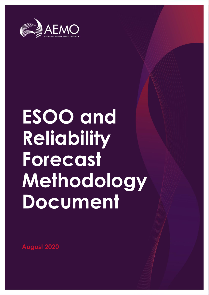

# **ESOO and Reliability Forecast Methodology Document**

**August 2020**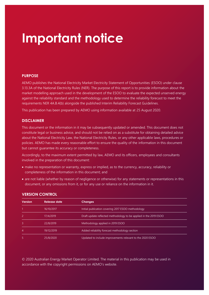## **Important notice**

#### **PURPOSE**

AEMO publishes the National Electricity Market Electricity Statement of Opportunities (ESOO) under clause 3.13.3A of the National Electricity Rules (NER). The purpose of this report is to provide information about the market modelling approach used in the development of the ESOO to evaluate the expected unserved energy against the reliability standard and the methodology used to determine the reliability forecast to meet the requirements NER 4A.B.4(b) alongside the published Interim Reliability Forecast Guidelines.

This publication has been prepared by AEMO using information available at 25 August 2020.

#### **DISCLAIMER**

This document or the information in it may be subsequently updated or amended. This document does not constitute legal or business advice, and should not be relied on as a substitute for obtaining detailed advice about the National Electricity Law, the National Electricity Rules, or any other applicable laws, procedures or policies. AEMO has made every reasonable effort to ensure the quality of the information in this document but cannot guarantee its accuracy or completeness.

Accordingly, to the maximum extent permitted by law, AEMO and its officers, employees and consultants involved in the preparation of this document:

- make no representation or warranty, express or implied, as to the currency, accuracy, reliability or completeness of the information in this document; and
- are not liable (whether by reason of negligence or otherwise) for any statements or representations in this document, or any omissions from it, or for any use or reliance on the information in it.

| <b>Version</b> | Release date | <b>Changes</b>                                                    |
|----------------|--------------|-------------------------------------------------------------------|
|                | 16/10/2017   | Initial publication covering 2017 ESOO methodology                |
| 2              | 17/4/2019    | Draft update reflected methodology to be applied in the 2019 ESOO |
| 3              | 22/8/2019    | Methodology applied in 2019 ESOO                                  |
| 4              | 19/12/2019   | Added reliability forecast methodology section                    |
| 5              | 25/8/2020    | Updated to include improvements relevant to the 2020 ESOO         |

#### **VERSION CONTROL**

© 2020 Australian Energy Market Operator Limited. The material in this publication may be used in accordance with the [copyright permissions](http://aemo.com.au/Privacy_and_Legal_Notices/Copyright_Permissions_Notice) on AEMO's website.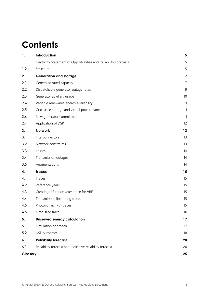## **Contents**

| 1.       | Introduction                                                     | 5              |
|----------|------------------------------------------------------------------|----------------|
| 1.1      | Electricity Statement of Opportunities and Reliability Forecasts | 5              |
| 1.2      | Structure                                                        | 5              |
| 2.       | <b>Generation and storage</b>                                    | 7              |
| 2.1      | Generator rated capacity                                         | $\overline{7}$ |
| 2.2      | Dispatchable generator outage rates                              | 9              |
| 2.3      | Generator auxiliary usage                                        | 10             |
| 2.4      | Variable renewable energy availability                           | 11             |
| 2.5      | Grid-scale storage and virtual power plants                      | 11             |
| 2.6      | New generator commitment                                         | 11             |
| 2.7      | Application of DSP                                               | 12             |
| 3.       | <b>Network</b>                                                   | 13             |
| 3.1      | Interconnectors                                                  | 13             |
| 3.2      | Network constraints                                              | 13             |
| 3.3      | Losses                                                           | 14             |
| 3.4      | Transmission outages                                             | 14             |
| 3.5      | Augmentations                                                    | 14             |
| 4.       | <b>Traces</b>                                                    | 15             |
| 4.1      | Traces                                                           | 15             |
| 4.2      | Reference years                                                  | 15             |
| 4.3      | Creating reference years trace for VRE                           | 15             |
| 4.4      | Transmission line rating traces                                  | 15             |
| 4.5      | Photovoltaic (PV) traces                                         | 15             |
| 4.6      | Time-slice trace                                                 | 16             |
| 5.       | <b>Unserved energy calculation</b>                               | 17             |
| 5.1      | Simulation approach                                              | 17             |
| 5.2      | USE outcomes                                                     | 18             |
| 6.       | <b>Reliability forecast</b>                                      | 20             |
| 6.1      | Reliability forecast and indicative reliability forecast         | 20             |
| Glossary |                                                                  | 25             |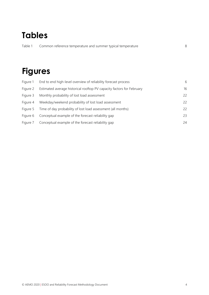## **Tables**

| Table 1 | Common reference temperature and summer typical temperature |  |
|---------|-------------------------------------------------------------|--|
|         |                                                             |  |

## **Figures**

| Figure 1 | End to end high-level overview of reliability forecast process        | 6  |
|----------|-----------------------------------------------------------------------|----|
| Figure 2 | Estimated average historical rooftop PV capacity factors for February | 16 |
| Figure 3 | Monthly probability of lost load assessment                           | 22 |
| Figure 4 | Weekday/weekend probability of lost load assessment                   | 22 |
| Figure 5 | Time of day probability of lost load assessment (all months)          | 22 |
| Figure 6 | Conceptual example of the forecast reliability gap                    | 23 |
| Figure 7 | Conceptual example of the forecast reliability gap                    | 24 |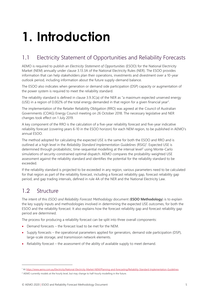# <span id="page-4-0"></span>**1. Introduction**

## <span id="page-4-1"></span>1.1 Electricity Statement of Opportunities and Reliability Forecasts

AEMO is required to publish an *Electricity Statement of Opportunities* (ESOO) for the National Electricity Market (NEM) annually under clause 3.13.3A of the National Electricity Rules (NER). The ESOO provides information that can help stakeholders plan their operations, investments and divestment over a 10-year outlook period, including information about the future supply-demand balance.

The ESOO also indicates when generation or demand side participation (DSP) capacity or augmentation of the power system is required to meet the reliability standard.

The reliability standard is defined in clause 3.9.3C(a) of the NER as "a maximum expected unserved energy (USE) in a region of 0.002% of the total energy demanded in that region for a given financial year".

The implementation of the Retailer Reliability Obligation (RRO) was agreed at the Council of Australian Governments (COAG) Energy Council meeting on 26 October 2018. The necessary legislative and NER changes took effect on 1 July 2019.

A key component of the RRO is the calculation of a five-year reliability forecast and five-year indicative reliability forecast (covering years 6-10 in the ESOO horizon) for each NEM region, to be published in AEMO's annual ESOO.

The method adopted for calculating the expected USE is the same for both the ESOO and RRO and is outlined at a high level in the *Reliability Standard Implementation Guidelines* (RSIG)<sup>1</sup> . Expected USE is determined through probabilistic, time-sequential modelling at the interval level<sup>2</sup> using Monte-Carlo simulations of security-constrained optimal dispatch. AEMO compares the probability-weighted USE assessment against the reliability standard and identifies the potential for the reliability standard to be exceeded.

If the reliability standard is projected to be exceeded in any region, various parameters need to be calculated for that region as part of the reliability forecast, including a forecast reliability gap, forecast reliability gap period, and gap trading intervals, defined in rule 4A of the NER and the National Electricity Law.

### <span id="page-4-2"></span>1.2 Structure

The intent of this *ESOO and Reliability Forecast Methodology* document (**ESOO Methodology**) is to explain the key supply inputs and methodologies involved in determining the expected USE outcomes, for both the ESOO and the reliability forecast. It also explains how the forecast reliability gap and forecast reliability gap period are determined.

The process for producing a reliability forecast can be split into three overall components:

- Demand forecasts the forecast load to be met for the NEM.
- Supply forecasts the operational parameters applied for generators, demand side participation (DSP), large-scale storage, and transmission network elements.
- Reliability forecast the assessment of the ability of available supply to meet demand.

<sup>1</sup> At [https://www.aemo.com.au/Electricity/National-Electricity-Market-NEM/Planning-and-forecasting/Reliability-Standard-Implementation-Guidelines.](https://www.aemo.com.au/Electricity/National-Electricity-Market-NEM/Planning-and-forecasting/Reliability-Standard-Implementation-Guidelines)

<sup>&</sup>lt;sup>2</sup> AEMO currently models at the hourly level, but may change to half-hourly modelling in the future.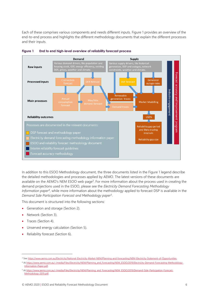Each of these comprises various components and needs different inputs. [Figure 1](#page-5-0) provides an overview of the end-to-end process and highlights the different methodology documents that explain the different processes and their inputs.



<span id="page-5-0"></span>

In addition to this ESOO Methodology document, the three documents listed in the [Figure 1](#page-5-0) legend describe the detailed methodologies and processes applied by AEMO. The latest versions of these documents are available on the AEMO's NEM ESOO web page<sup>3</sup>. For more information about the process used in creating the demand projections used in the ESOO, please see the *Electricity Demand Forecasting Methodology Information paper*<sup>4</sup> , while more information about the methodology applied to forecast DSP is available in the *Demand Side Participation Forecast and Methodology paper*<sup>5</sup> .

This document is structured into the following sections:

- Generation and storage (Section [2\)](#page-6-0).
- Network (Section [3\)](#page-12-0).
- Traces (Sectio[n 4\)](#page-14-0).
- Unserved energy calculation (Section [5\)](#page-16-0).
- Reliability forecast (Section [6\)](#page-19-0).

<sup>&</sup>lt;sup>3</sup> Se[e https://www.aemo.com.au/Electricity/National-Electricity-Market-NEM/Planning-and-forecasting/NEM-Electricity-Statement-of-Opportunities.](https://www.aemo.com.au/Electricity/National-Electricity-Market-NEM/Planning-and-forecasting/NEM-Electricity-Statement-of-Opportunities)

<sup>4</sup> A[t https://www.aemo.com.au/-/media/Files/Electricity/NEM/Planning\\_and\\_Forecasting/NEM\\_ESOO/2019/Electricity-Demand-Forecasting-Methodology-](https://www.aemo.com.au/-/media/Files/Electricity/NEM/Planning_and_Forecasting/NEM_ESOO/2019/Electricity-Demand-Forecasting-Methodology-Information-Paper.pdf)[Information-Paper.pdf.](https://www.aemo.com.au/-/media/Files/Electricity/NEM/Planning_and_Forecasting/NEM_ESOO/2019/Electricity-Demand-Forecasting-Methodology-Information-Paper.pdf)

<sup>5</sup> A[t https://www.aemo.com.au/-/media/Files/Electricity/NEM/Planning\\_and\\_Forecasting/NEM\\_ESOO/2019/Demand-Side-Participation-Forecast-](https://www.aemo.com.au/-/media/Files/Electricity/NEM/Planning_and_Forecasting/NEM_ESOO/2019/Demand-Side-Participation-Forecast-Methodology-2019.pdf)[Methodology-2019.pdf.](https://www.aemo.com.au/-/media/Files/Electricity/NEM/Planning_and_Forecasting/NEM_ESOO/2019/Demand-Side-Participation-Forecast-Methodology-2019.pdf)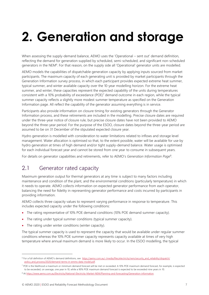## <span id="page-6-0"></span>**2. Generation and storage**

When assessing the supply-demand balance, AEMO uses the 'Operational – sent out' demand definition, reflecting the demand for generation supplied by scheduled, semi-scheduled, and significant non-scheduled generators in the NEM<sup>6</sup>. For that reason, on the supply side all 'Operational' generator units are modelled.

AEMO models the capabilities of dispatchable generation capacity by applying inputs sourced from market participants. The maximum capacity of each generating unit is provided by market participants through the Generation Information survey process, in which each participant provides expected extreme heat summer, typical summer, and winter available capacity over the 10-year modelling horizon. For the extreme heat summer, and winter, these capacities represent the expected capability of the units during temperatures consistent with a 10% probability of exceedance (POE)<sup>7</sup> demand outcome in each region, while the typical summer capacity reflects a slightly more modest summer temperature as specified on the Generation Information page. All reflect the capability of the generator assuming everything is in service.

Participants also provide information on closure timing for existing generators through the Generator Information process, and these retirements are included in the modelling. Precise closure dates are required under the three-year notice of closure rule, but precise closure dates have not been provided to AEMO beyond the three-year period. For the purpose of the ESOO, closure dates beyond the three-year period are assumed to be on 31 December of the stipulated expected closure year.

Hydro generation is modelled with consideration to water limitations related to inflows and storage level management. Water allocation is optimised so that, to the extent possible, water will be available for use by hydro generation at times of high demand and/or tight supply-demand balance. Water usage is optimised for each individual forecast year and cannot be stored from one year to consume in subsequent years.

<span id="page-6-1"></span>For details on generator capabilities and retirements, refer to AEMO's *Generation Information Page*<sup>8</sup> .

### 2.1 Generator rated capacity

Maximum generation output for thermal generators at any time is subject to many factors including maintenance and condition of the plant, and the environmental conditions (particularly temperature) in which it needs to operate. AEMO collects information on expected generator performance from each operator, balancing the need for fidelity in representing generator performance and costs incurred by participants in providing information.

AEMO collects three capacity values to represent varying performance in response to temperature. This includes expected capacity under the following conditions:

- The rating representative of 10% POE demand conditions (10% POE demand summer capacity).
- The rating under typical summer conditions (typical summer capacity).
- The rating under winter conditions (winter capacity).

The typical summer capacity is used to represent the capacity that would be available under regular summer conditions whereas the 10% POE summer capacity represents capacity available at times of very high temperature where annual maximum demand is more likely to occur. In the ESOO modelling, the typical

<sup>&</sup>lt;sup>6</sup> For a full definition of AEMO's demand definitions, see [https://aemo.com.au/-/media/files/electricity/nem/security\\_and\\_reliability/dispatch/](https://aemo.com.au/-/media/files/electricity/nem/security_and_reliability/dispatch/policy_and_process/2020/demand-terms-in-emms-data-model.pdf) [policy\\_and\\_process/2020/demand-terms-in-emms-data-model.pdf.](https://aemo.com.au/-/media/files/electricity/nem/security_and_reliability/dispatch/policy_and_process/2020/demand-terms-in-emms-data-model.pdf)

<sup>7</sup> POE is the likelihood a maximum or minimum demand forecast will be met or exceeded. A 10% POE maximum demand forecast, for example, is expected to be exceeded, on average, one year in 10, while a 90% POE maximum demand forecast is expected to be exceeded nine years in 10.

<sup>8</sup> A[t https://www.aemo.com.au/Electricity/National-Electricity-Market-NEM/Planning-and-forecasting/Generation-information.](https://www.aemo.com.au/Electricity/National-Electricity-Market-NEM/Planning-and-forecasting/Generation-information)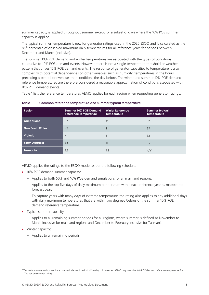summer capacity is applied throughout summer except for a subset of days where the 10% POE summer capacity is applied.

The typical summer temperature is new for generator ratings used in the 2020 ESOO and is calculated as the 85<sup>th</sup> percentile of observed maximum daily temperatures for all reference years for periods between December and March (inclusive).

The summer 10% POE demand and winter temperatures are associated with the types of conditions conducive to 10% POE demand events. However, there is not a single temperature threshold or weather pattern that drives 10% POE demand events. The response of generator capacities to temperature is also complex, with potential dependencies on other variables such as humidity, temperatures in the hours preceding a period, or even weather conditions the day before. The winter and summer 10% POE demand reference temperatures are therefore considered a reasonable approximation of conditions associated with 10% POE demand events.

[Table 1](#page-7-0) lists the reference temperatures AEMO applies for each region when requesting generator ratings.

| Region                 | Summer 10% POE Demand<br><b>Reference Temperature</b> | <b>Winter Reference</b><br><b>Temperature</b> | <b>Summer Typical</b><br><b>Temperature</b> |
|------------------------|-------------------------------------------------------|-----------------------------------------------|---------------------------------------------|
| Queensland             | 37                                                    | 15                                            | 32                                          |
| <b>New South Wales</b> | 42                                                    | 9                                             | 32                                          |
| <b>Victoria</b>        | 41                                                    | 8                                             | 32                                          |
| <b>South Australia</b> | 43                                                    | 11                                            | 35                                          |
| <b>Tasmania</b>        | 7.7                                                   | 1.2                                           | n/a <sup>9</sup>                            |

<span id="page-7-0"></span>**Table 1 Common reference temperature and summer typical temperature**

AEMO applies the ratings to the ESOO model as per the following schedule:

- 10% POE demand summer capacity:
	- Applies to both 50% and 10% POE demand simulations for all mainland regions.
	- Applies to the top five days of daily maximum temperature within each reference year as mapped to forecast year.
	- To capture years with many days of extreme temperature, the rating also applies to any additional days with daily maximum temperatures that are within two degrees Celsius of the summer 10% POE demand reference temperature.
- Typical summer capacity:
	- Applies to all remaining summer periods for all regions, where summer is defined as November to March inclusive for mainland regions and December to February inclusive for Tasmania.
- Winter capacity:
	- Applies to all remaining periods.

<sup>9</sup> Tasmania summer ratings are based on peak demand periods driven by cold weather. AEMO only uses the 10% POE demand reference temperature for Tasmanian summer ratings.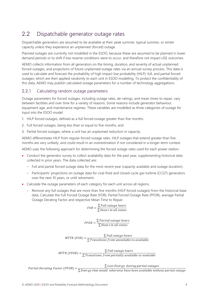## <span id="page-8-0"></span>2.2 Dispatchable generator outage rates

Dispatchable generators are assumed to be available at their peak summer, typical summer, or winter capacity unless they experience an unplanned (forced) outage.

Planned outages are currently not modelled in the ESOO, because these are assumed to be planned in lower demand periods or to shift if low reserve conditions were to occur, and therefore not impact USE outcomes.

AEMO collects information from all generators on the timing, duration, and severity of actual unplanned forced outages, and projections of future unplanned outage rates via an annual survey process. This data is used to calculate and forecast the probability of high impact low probability (HILP), full, and partial forced outages, which are then applied randomly to each unit in ESOO modelling. To protect the confidentiality of this data, AEMO may publish calculated outage parameters for a number of technology aggregations.

#### <span id="page-8-1"></span>2.2.1 Calculating random outage parameters

Outage parameters for forced outages, including outage rates, de-ratings, and mean times to repair, vary between facilities and over time for a variety of reasons. Some reasons include generator behaviour, equipment age, and maintenance regimes. These variables are modelled as three categories of outage for input into the ESOO model:

- 1. HILP forced outages, defined as a full forced outage greater than five months.
- 2. Full forced outages, being less than or equal to five months, and
- 3. Partial forced outages, where a unit has an unplanned reduction in capacity.

AEMO differentiates HILP from regular forced outage rates. HILP outages that extend greater than five months are very unlikely, and could result in an overestimation if not considered in a longer-term context.

AEMO uses the following approach for determining the forced outage rates used for each power station:

- Conduct the generator survey to collect availability data for the past year, supplementing historical data collected in prior years. The data collected are:
	- Full and partial forced outage data for the most recent year (capacity available and outage duration).
	- Participants' projections on outage data for coal-fired and closed-cycle gas turbine (CCGT) generators over the next 10 years, or until retirement.
- Calculate the outage parameters of each category for each unit across all regions.
	- Remove any full outages that are more than five months (HILP forced outages) from the historical base data. Calculate the Full Forced Outage Rate (FOR), Partial Forced Outage Rate (PFOR), average Partial Outage Derating Factor and respective Mean Time to Repair.

 = ∑ ℎ ∑ Hours in all states

 $PFOR = \frac{\sum Partial\,outage\,hours}{\sum H_{xy} \sum m\,all\,static}$ ∑ Hours in all states

 $MTR (FOR) = \frac{\sum Full \text{ outage hours}}{\sum Full}$  $\Sigma$ Transitions from unvailable to available

 $MTTR(PFOR) = \frac{\sum Full\ outcomes}$  $\Sigma$ Transitions from partially available to available

Partial Derating Factor (PFOR) =  $\sum$  Lost Energy during partial outages  $\Sigma$  Energy that would otherwise have been available without partial outage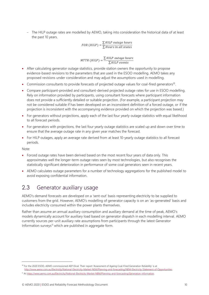– The HILP outage rates are modelled by AEMO, taking into consideration the historical data of at least the past 10 years.

> $FOR(HILP) = \frac{\sum HILP \text{ outage hours}}{\sum H1 \times P1}$ ∑ Hours in all states

 $MTTR(HILP) = \frac{\sum HILP \noutage \nhours}{\sum HILP \nconst}$ ∑HILP events

- After calculating generator outage statistics, provide station owners the opportunity to propose evidence-based revisions to the parameters that are used in the ESOO modelling. AEMO takes any proposed revisions under consideration and may adjust the assumptions used in modelling.
- Commission consultants to provide forecasts of projected outage values for coal-fired generators<sup>10</sup>.
- Compare participant-provided and consultant-derived projected outage rates for use in ESOO modelling. Rely on information provided by participants, using consultant forecasts where participant information does not provide a sufficiently detailed or suitable projection. (For example, a participant projection may not be considered suitable if has been developed on an inconsistent definition of a forced outage, or if the projection is inconsistent with the accompanying evidence provided on which the projection was based.)
- For generators without projections, apply each of the last four yearly outage statistics with equal likelihood to all forecast periods.
- For generators with projections, the last four yearly outage statistics are scaled up and down over time to ensure that the average outage rate in any given year matches the forecast.
- For HILP outages, apply an average rate derived from at least 10-yearly outage statistics to all forecast periods.

Note:

- Forced outage rates have been derived based on the most recent four years of data only. This approximates well the longer-term outage rates seen by most technologies, but also recognises the statistically significant deterioration in performance of some coal generators seen in recent years.
- AEMO calculates outage parameters for a number of technology aggregations for the published model to avoid exposing confidential information.

#### <span id="page-9-0"></span>2.3 Generator auxiliary usage

AEMO's demand forecasts are developed on a 'sent-out' basis representing electricity to be supplied to customers from the grid. However, AEMO's modelling of generator capacity is on an 'as-generated' basis and includes electricity consumed within the power plants themselves.

Rather than assume an annual auxiliary consumption and auxiliary demand at the time of peak, AEMO's models dynamically account for auxiliary load based on generator dispatch in each modelling interval. AEMO currently sources per-unit auxiliary rate assumptions from participants through the latest Generator Information surveys<sup>11</sup> which are published in aggregate form.

<sup>10</sup> For the 2020 ESOO, AEMO commissioned AEP Elical. Their report 'Assessment of Ageing Coal-Fired Generation Reliability' is at [http://www.aemo.com.au/Electricity/National-Electricity-Market-NEM/Planning-and-forecasting/NEM-Electricity-Statement-of-Opportunities.](http://www.aemo.com.au/Electricity/National-Electricity-Market-NEM/Planning-and-forecasting/NEM-Electricity-Statement-of-Opportunities)

<sup>11</sup> A[t https://www.aemo.com.au/Electricity/National-Electricity-Market-NEM/Planning-and-forecasting/Generation-information.](https://www.aemo.com.au/Electricity/National-Electricity-Market-NEM/Planning-and-forecasting/Generation-information)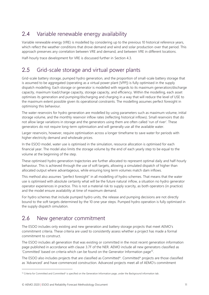## <span id="page-10-0"></span>2.4 Variable renewable energy availability

Variable renewable energy (VRE) is modelled by considering up to the previous 10 historical reference years, which reflect the weather conditions that drove demand and wind and solar production over that period. This approach preserves any correlation between VRE and demand, and between VRE in different locations.

<span id="page-10-1"></span>Half-hourly trace development for VRE is discussed further in Section [4.3.](#page-14-3)

## 2.5 Grid-scale storage and virtual power plants

Grid-scale battery storage, pumped hydro generation, and the proportion of small-scale battery storage that is assumed to be aggregated (operating as a virtual power plant [VPP]) is fully optimised in the supply dispatch modelling. Each storage or generator is modelled with regards to its maximum generation/discharge capacity, maximum load/charge capacity, storage capacity, and efficiency. Within the modelling, each asset optimises its generation and pumping/discharging and charging in a way that will reduce the level of USE to the maximum extent possible given its operational constraints. The modelling assumes perfect foresight in optimising this behaviour.

The water reservoirs for hydro generation are modelled by using parameters such as maximum volume, initial storage volume, and the monthly reservoir inflow rates (reflecting historical inflows). Small reservoirs that do not allow large variations in storage and the generators using them are often called 'run of river'. These generators do not require long-term optimisation and will generally use all the available water.

Larger reservoirs, however, require optimisation across a longer timeframe to save water for periods with higher electricity demand and wholesale prices.

In the ESOO model, water use is optimised in the simulation, resource allocation is optimised for each financial year. The model also limits the storage volume by the end of each yearly step to be equal to the volume at the beginning of the step.

These optimised hydro generation trajectories are further allocated to represent optimal daily and half-hourly behaviour. This is achieved through the use of soft targets, allowing a simulated dispatch of higher than allocated output where advantageous, while ensuring long term volumes match dam inflows.

This method also assumes "perfect foresight" in all modelling of hydro schemes. That means that the water use is optimised with absolute certainty what will be the future natural inflow, a situation no hydro generator operator experiences in practice. This is not a material risk to supply scarcity, as both operators (in practice) and the model ensure availability at time of maximum demand.

For hydro schemes that include pumped hydro units, the release and pumping decisions are not directly bound to the soft targets determined by the 10 one-year steps. Pumped hydro operation is fully optimised in the supply dispatch simulation.

### <span id="page-10-2"></span>2.6 New generator commitment

The ESOO includes only existing and new generation and battery storage projects that meet AEMO's commitment criteria. These criteria are used to consistently assess whether a project has made a formal commitment to construct.

The ESOO includes all generation that was existing or committed in the most recent generation information page published in accordance with clause 3.7F of the NER. AEMO include all new generators classified as 'Committed' based on criteria which can be found on the Generator Information page<sup>12</sup>.

The ESOO also includes projects that are classified as Committed\*. Committed\* projects are those classified as 'Advanced' and have commenced construction. Advanced projects meet all of AEMO's commitment

 $12$  Criteria for Committed and Committed\* is specified on the Generation Information page, under the Background information tab.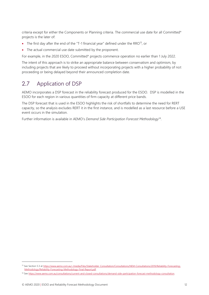criteria except for either the Components or Planning criteria. The commercial use date for all Committed\* projects is the later of:

- The first day after the end of the "T-1 financial year" defined under the RRO<sup>13</sup>, or
- The actual commercial use date submitted by the proponent.

For example, in the 2020 ESOO, Committed\* projects commence operation no earlier than 1 July 2022.

The intent of this approach is to strike an appropriate balance between conservatism and optimism, by including projects that are likely to proceed without incorporating projects with a higher probability of not proceeding or being delayed beyond their announced completion date.

### <span id="page-11-0"></span>2.7 Application of DSP

AEMO incorporates a DSP forecast in the reliability forecast produced for the ESOO. DSP is modelled in the ESOO for each region in various quantities of firm capacity at different price bands.

The DSP forecast that is used in the ESOO highlights the risk of shortfalls to determine the need for RERT capacity, so the analysis excludes RERT it in the first instance, and is modelled as a last resource before a USE event occurs in the simulation.

Further information is available in AEMO's *Demand Side Participation Forecast Methodology*<sup>14</sup> .

<sup>&</sup>lt;sup>13</sup> See Section 5.3 a[t https://www.aemo.com.au/-/media/Files/Stakeholder\\_Consultation/Consultations/NEM-Consultations/2019/Reliability-Forecasting-](https://www.aemo.com.au/-/media/Files/Stakeholder_Consultation/Consultations/NEM-Consultations/2019/Reliability-Forecasting-Methodology/Reliability-Forecasting-Methodology-Final-Report.pdf)[Methodology/Reliability-Forecasting-Methodology-Final-Report.pdf.](https://www.aemo.com.au/-/media/Files/Stakeholder_Consultation/Consultations/NEM-Consultations/2019/Reliability-Forecasting-Methodology/Reliability-Forecasting-Methodology-Final-Report.pdf)

<sup>&</sup>lt;sup>14</sup> Se[e https://www.aemo.com.au/consultations/current-and-closed-consultations/demand-side-participation-forecast-methodology-consultation.](https://www.aemo.com.au/consultations/current-and-closed-consultations/demand-side-participation-forecast-methodology-consultation)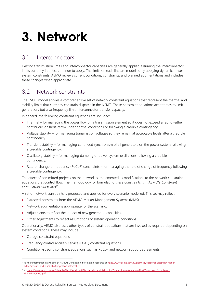## <span id="page-12-0"></span>**3. Network**

#### <span id="page-12-1"></span>3.1 Interconnectors

Existing transmission limits and interconnector capacities are generally applied assuming the interconnector limits currently in effect continue to apply. The limits on each line are modelled by applying dynamic power system constraints. AEMO reviews current conditions, constraints, and planned augmentations and includes these changes when appropriate.

### <span id="page-12-2"></span>3.2 Network constraints

The ESOO model applies a comprehensive set of network constraint equations that represent the thermal and stability limits that currently constrain dispatch in the NEM<sup>15</sup>. These constraint equations act at times to limit generation, but also frequently limit interconnector transfer capacity.

In general, the following constraint equations are included:

- Thermal for managing the power flow on a transmission element so it does not exceed a rating (either continuous or short-term) under normal conditions or following a credible contingency.
- Voltage stability for managing transmission voltages so they remain at acceptable levels after a credible contingency.
- Transient stability for managing continued synchronism of all generators on the power system following a credible contingency.
- Oscillatory stability for managing damping of power system oscillations following a credible contingency.
- Rate of change of frequency (RoCoF) constraints for managing the rate of change of frequency following a credible contingency.

The effect of committed projects on the network is implemented as modifications to the network constraint equations that control flow. The methodology for formulating these constraints is in AEMO's *Constraint Formulation Guidelines*<sup>16</sup> .

A set of network constraints is produced and applied for every scenario modelled. This set may reflect:

- Extracted constraints from the AEMO Market Management Systems (MMS).
- Network augmentations appropriate for the scenario.
- Adjustments to reflect the impact of new generation capacities.
- Other adjustments to reflect assumptions of system operating conditions.

Operationally, AEMO also uses other types of constraint equations that are invoked as required depending on system conditions. These may include:

- Outage constraint equations.
- Frequency control ancillary service (FCAS) constraint equations.
- Condition-specific constraint equations such as RoCoF and network support agreements.

<sup>&</sup>lt;sup>15</sup> Further information is available at AEMO's Congestion Information Resource at [https://www.aemo.com.au/Electricity/National-Electricity-Market-](https://www.aemo.com.au/Electricity/National-Electricity-Market-NEM/Security-and-reliability/Congestion-information)[NEM/Security-and-reliability/Congestion-information.](https://www.aemo.com.au/Electricity/National-Electricity-Market-NEM/Security-and-reliability/Congestion-information)

<sup>16</sup> At https://www.aemo.com.au/-/media/Files/Electricity/NEM/Security\_and\_Reliability/Congestion-Information/2016/Constraint\_Formulation [Guidelines\\_v10\\_1.pdf.](https://www.aemo.com.au/-/media/Files/Electricity/NEM/Security_and_Reliability/Congestion-Information/2016/Constraint_Formulation_Guidelines_v10_1.pdf)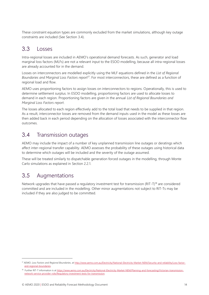These constraint equation types are commonly excluded from the market simulations, although key outage constraints are included (See Section [3.4\)](#page-13-1).

### <span id="page-13-0"></span>3.3 Losses

Intra-regional losses are included in AEMO's operational demand forecasts. As such, generator and load marginal loss factors (MLFs) are not a relevant input to the ESOO modelling, because all intra-regional losses are already accounted for in the demand.

Losses on interconnectors are modelled explicitly using the MLF equations defined in the *List of Regional Boundaries and Marginal Loss Factors report*<sup>17</sup> . For most interconnectors, these are defined as a function of regional load and flow.

AEMO uses proportioning factors to assign losses on interconnectors to regions. Operationally, this is used to determine settlement surplus. In ESOO modelling, proportioning factors are used to allocate losses to demand in each region. Proportioning factors are given in the annual *List of Regional Boundaries and Marginal Loss Factors report*.

The losses allocated to each region effectively add to the total load that needs to be supplied in that region. As a result, interconnector losses are removed from the demand inputs used in the model as these losses are then added back in each period depending on the allocation of losses associated with the interconnector flow outcomes.

### <span id="page-13-1"></span>3.4 Transmission outages

AEMO may include the impact of a number of key unplanned transmission line outages or deratings which affect inter-regional transfer capability. AEMO assesses the probability of these outages using historical data to determine which outages will be included and the severity of the outage assumed.

These will be treated similarly to dispatchable generation forced outages in the modelling, through Monte Carlo simulations as explained in Section [2.2.1.](#page-8-1)

### <span id="page-13-2"></span>3.5 Augmentations

Network upgrades that have passed a regulatory investment test for transmission (RIT-T)<sup>18</sup> are considered committed and are included in the modelling. Other minor augmentations not subject to RIT-Ts may be included if they are also judged to be committed.

<sup>17</sup> AEMO. *Loss Factors and Regional Boundaries*, a[t http://www.aemo.com.au/Electricity/National-Electricity-Market-NEM/Security-and-reliability/Loss-factor](http://www.aemo.com.au/Electricity/National-Electricity-Market-NEM/Security-and-reliability/Loss-factor-and-regional-boundaries)[and-regional-boundaries.](http://www.aemo.com.au/Electricity/National-Electricity-Market-NEM/Security-and-reliability/Loss-factor-and-regional-boundaries)

<sup>&</sup>lt;sup>18</sup> Further RIT-T information is a[t https://www.aemo.com.au/Electricity/National-Electricity-Market-NEM/Planning-and-forecasting/Victorian-transmission](https://www.aemo.com.au/Electricity/National-Electricity-Market-NEM/Planning-and-forecasting/Victorian-transmission-network-service-provider-role/Regulatory-investment-tests-for-transmission)[network-service-provider-role/Regulatory-investment-tests-for-transmission.](https://www.aemo.com.au/Electricity/National-Electricity-Market-NEM/Planning-and-forecasting/Victorian-transmission-network-service-provider-role/Regulatory-investment-tests-for-transmission)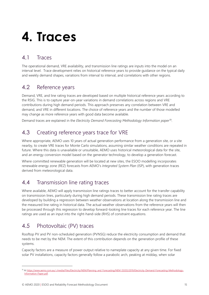## <span id="page-14-0"></span>**4. Traces**

## <span id="page-14-1"></span>4.1 Traces

The operational demand, VRE availability, and transmission line ratings are inputs into the model on an interval level. Trace development relies on historical reference years to provide guidance on the typical daily and weekly demand shapes, variations from interval to interval, and correlations with other regions.

### <span id="page-14-2"></span>4.2 Reference years

Demand, VRE, and line rating traces are developed based on multiple historical reference years according to the RSIG. This is to capture year-on-year variations in demand correlations across regions and VRE contributions during high demand periods. This approach preserves any correlation between VRE and demand, and VRE in different locations. The choice of reference years and the number of those modelled may change as more reference years with good data become available.

Demand traces are explained in the *Electricity Demand Forecasting Methodology Information paper*<sup>19</sup> .

### <span id="page-14-3"></span>4.3 Creating reference years trace for VRE

Where appropriate, AEMO uses 10 years of actual generation performance from a generation site, or a site nearby, to create VRE traces for Monte Carlo simulations, assuming similar weather conditions are repeated in future. Where this data is unavailable or unsuitable, AEMO uses historical meteorological data for the site, and an energy conversion model based on the generator technology, to develop a generation forecast.

Where committed renewable generation will be located at new sites, the ESOO modelling incorporates renewable energy zone (REZ) forecasts from AEMO's *Integrated System Plan* (ISP), with generation traces derived from meteorological data.

### <span id="page-14-4"></span>4.4 Transmission line rating traces

Where available, AEMO will apply transmission line ratings traces to better account for the transfer capability on transmission lines, particularly during high demand periods. These transmission line rating traces are developed by building a regression between weather observations at location along the transmission line and the measured line rating in historical data. The actual weather observations from the reference years will then be processed through this regression to develop forward-looking line traces for each reference year. The line ratings are used as an input into the right-hand-side (RHS) of constraint equations.

## <span id="page-14-5"></span>4.5 Photovoltaic (PV) traces

Rooftop PV and PV non-scheduled generation (PVNSG) reduce the electricity consumption and demand that needs to be met by the NEM. The extent of this contribution depends on the generation profile of these systems.

Capacity factors are a measure of power output relative to nameplate capacity at any given time. For fixed solar PV installations, capacity factors generally follow a parabolic arch, peaking at midday, when solar

<sup>19</sup> A[t https://www.aemo.com.au/-/media/Files/Electricity/NEM/Planning\\_and\\_Forecasting/NEM\\_ESOO/2019/Electricity-Demand-Forecasting-Methodology-](https://www.aemo.com.au/-/media/Files/Electricity/NEM/Planning_and_Forecasting/NEM_ESOO/2019/Electricity-Demand-Forecasting-Methodology-Information-Paper.pdf)[Information-Paper.pdf.](https://www.aemo.com.au/-/media/Files/Electricity/NEM/Planning_and_Forecasting/NEM_ESOO/2019/Electricity-Demand-Forecasting-Methodology-Information-Paper.pdf)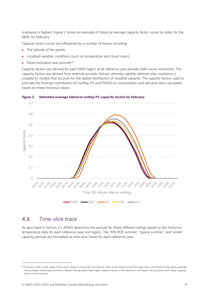irradiance is highest. [Figure 2](#page-15-1) shows an example of historical average capacity factor curves by state, for the NEM, for February.

Capacity factor curves are influenced by a number of factors including:

- The latitude of the panels.
- Localised weather conditions (such as temperature and cloud cover).
- Panel inclination and azimuth $^{20}$ .

Capacity factors are derived for each NEM region at all reference year periods (half-hourly resolution). The capacity factors are derived from external provider Solcast, whereby satellite-derived solar irradiance is coupled to models that account for the spatial distribution of installed capacity. The capacity factors used to estimate the forecast contribution of rooftop PV and PVNSG to consumption and demand were calculated based on these historical values.



#### <span id="page-15-1"></span>**Figure 2 Estimated average historical rooftop PV capacity factors for February**

#### <span id="page-15-0"></span>4.6 Time-slice trace

As described in Section [2.1,](#page-6-1) AEMO determine the periods for three different ratings based on the historical temperature data for each reference year and region. The '10% POE summer', 'typical summer', and 'winter' capacity periods are formatted as time-slice traces for each reference year.

<sup>&</sup>lt;sup>20</sup> Inclination refers to the angle of the panel relative to horizontal and azimuth refers to the direction that the panel faces, with North facing panels generally having higher overall capacity factors. Western facing panels have higher capacity factors in the afternoon, and Eastern facing panels have higher capacity factors in the morning.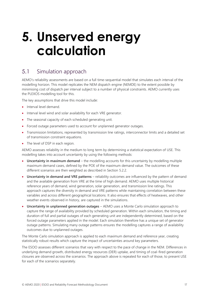## <span id="page-16-0"></span>**5. Unserved energy calculation**

### <span id="page-16-1"></span>5.1 Simulation approach

AEMO's reliability assessments are based on a full time-sequential model that simulates each interval of the modelling horizon. This model replicates the NEM dispatch engine (NEMDE) to the extent possible by minimising cost of dispatch per interval subject to a number of physical constraints. AEMO currently uses the PLEXOS modelling tool for this.

The key assumptions that drive this model include:

- Interval level demand.
- Interval level wind and solar availability for each VRE generator.
- The seasonal capacity of each scheduled generating unit.
- Forced outage parameters used to account for unplanned generator outages.
- Transmission limitations, represented by transmission line ratings, interconnector limits and a detailed set of transmission constraint equations.
- The level of DSP in each region.

AEMO assesses reliability in the medium to long term by determining a statistical expectation of USE. This modelling takes into account uncertainty by using the following methods:

- **Uncertainty in maximum demand** the modelling accounts for this uncertainty by modelling multiple maximum demand cases, defined by the POE of the maximum demand value. The outcomes of these different scenarios are then weighted as described in Section [5.2.2.](#page-17-1)
- **Uncertainty in demand and VRE patterns** reliability outcomes are influenced by the pattern of demand and the available generation from VRE at the time of high demand. AEMO uses multiple historical reference years of demand, wind generation, solar generation, and transmission line ratings. This approach captures the diversity in demand and VRE patterns while maintaining correlation between these variables and across different geographical locations. It also ensures that effects of heatwaves, and other weather events observed in history, are captured in the simulations.
- **Uncertainty in unplanned generation outages** AEMO uses a Monte Carlo simulation approach to capture the range of availability provided by scheduled generation. Within each simulation, the timing and duration of full and partial outages of each generating unit are independently determined, based on the forced outage parameters applied in the model. Each simulation therefore has a unique set of generator outage patterns. Simulating many outage patterns ensures the modelling captures a range of availability outcomes due to unplanned outages.

The Monte Carlo simulation approach is applied to each maximum demand and reference year, creating statistically robust results which capture the impact of uncertainties around key parameters.

The ESOO assesses different scenarios that vary with respect to the pace of change in the NEM. Differences in underlying demand growth, distributed energy resources (DER) uptake, and timing of coal-fired generation closures are observed across the scenarios. The approach above is repeated for each of those, to present USE for each of the scenarios separately.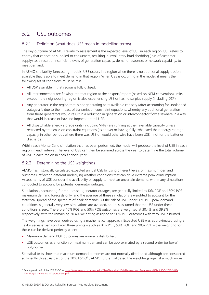## <span id="page-17-0"></span>5.2 USE outcomes

#### 5.2.1 Definition (what does USE mean in modelling terms)

The key outcome of AEMO's reliability assessment is the expected level of USE in each region. USE refers to energy that cannot be supplied to consumers, resulting in involuntary load shedding (loss of customer supply), as a result of insufficient levels of generation capacity, demand response, or network capability, to meet demand.

In AEMO's reliability forecasting models, USE occurs in a region when there is no additional supply option available that is able to meet demand in that region. When USE is occurring in the model, it means the following set of conditions must be true:

- All DSP available in that region is fully utilised.
- All interconnectors are flowing into that region at their export/import (based on NEM convention) limits, except if the neighbouring region is also experiencing USE or has no surplus supply (including DSP).
- Any generator in the region that is not generating at its available capacity (after accounting for unplanned outages) is due to the impact of transmission constraint equations, whereby any additional generation from these generators would result in a reduction in generation or interconnector flow elsewhere in a way that would increase or have no impact on total USE.
- All dispatchable energy storage units (including VPPs) are running at their available capacity unless restricted by transmission constraint equations (as above) or having fully exhausted their energy storage capacity in other periods where there was USE or would otherwise have been USE if not for the batteries' discharge.

Within each Monte Carlo simulation that has been performed, the model will produce the level of USE in each region in each interval. The level of USE can then be summed across the year to determine the total volume of USE in each region in each financial year.

#### <span id="page-17-1"></span>5.2.2 Determining the USE weightings

AEMO has historically calculated expected annual USE by using different levels of maximum demand outcomes, reflecting different underlying weather conditions that can drive extreme peak consumption. Assessments of USE consider the availability of supply to meet an uncertain demand, with many simulations conducted to account for potential generator outages.

Simulations, accounting for randomised generator outages, are generally limited to 10% POE and 50% POE maximum demand forecasts only, and the average of these simulations is weighted to account for the statistical spread of the spectrum of peak demands. As the risk of USE under 90% POE peak demand conditions is generally very low, simulations are avoided, and it is assumed that the USE under these conditions is zero. Therefore, 10% POE and 50% POE outcomes are weighted at 30.4% and 39.2% respectively, with the remaining 30.4% weighting assigned to 90% POE outcomes with zero USE assumed.

The weightings have been derived using a mathematical approach. Expected USE was approximated using a Taylor series expansion. From three points – such as 10% POE, 50% POE, and 90% POE – the weighting for these can be derived perfectly when:

- Maximum demand POE outcomes are normally distributed.
- USE outcomes as a function of maximum demand can be approximated by a second order (or lower) polynomial.

Statistical tests show that maximum demand outcomes are not normally distributed although are considered sufficiently close.. As part of the 2018  $ESOO<sup>21</sup>$ , AEMO further validated the weightings against a much more

<sup>&</sup>lt;sup>21</sup> See Appendix A3 of the 2018 ESOO at [https://www.aemo.com.au/-/media/Files/Electricity/NEM/Planning\\_and\\_Forecasting/NEM\\_ESOO/2018/2018-](https://www.aemo.com.au/-/media/Files/Electricity/NEM/Planning_and_Forecasting/NEM_ESOO/2018/2018-Electricity-Statement-of-Opportunities.pdf) [Electricity-Statement-of-Opportunities.pdf.](https://www.aemo.com.au/-/media/Files/Electricity/NEM/Planning_and_Forecasting/NEM_ESOO/2018/2018-Electricity-Statement-of-Opportunities.pdf)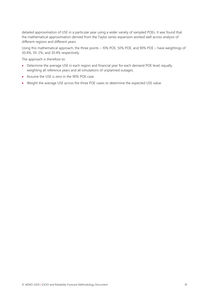detailed approximation of USE in a particular year using a wider variety of sampled POEs. It was found that the mathematical approximation derived from the Taylor series expansion worked well across analysis of different regions and different years.

Using this mathematical approach, the three points – 10% POE, 50% POE, and 90% POE – have weightings of 30.4%, 39. 2%, and 30.4% respectively.

The approach is therefore to:

- Determine the average USE in each region and financial year for each demand POE level, equally weighting all reference years and all simulations of unplanned outages.
- Assume the USE is zero in the 90% POE case.
- Weight the average USE across the three POE cases to determine the expected USE value.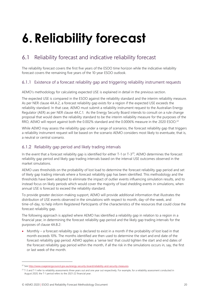# <span id="page-19-0"></span>**6.Reliability forecast**

## <span id="page-19-1"></span>6.1 Reliability forecast and indicative reliability forecast

The reliability forecast covers the first five years of the ESOO time horizon while the indicative reliability forecast covers the remaining five years of the 10-year ESOO outlook.

#### 6.1.1 Existence of a forecast reliability gap and triggering reliability instrument requests

AEMO's methodology for calculating expected USE is explained in detail in the previous section.

The expected USE is compared in the ESOO against the reliability standard and the interim reliability measure. As per NER clause 4A.A.2, a forecast reliability gap exists for a region if the expected USE exceeds the reliability standard. In that case, AEMO must submit a reliability instrument request to the Australian Energy Regulator (AER) as per NER clause 4A.C.1. As the Energy Security Board intends to consult on a rule change proposal that would deem the reliability standard to be the interim reliability measure for the purposes of the RRO, AEMO will report against both the 0.002% standard and the 0.0006% measure in the 2020 ESOO.<sup>22</sup>

While AEMO may assess the reliability gap under a range of scenarios, the forecast reliability gap that triggers a reliability instrument request will be based on the scenario AEMO considers most likely to eventuate, that is, a neutral or central scenario.

#### 6.1.2 Reliability gap period and likely trading intervals

In the event that a forecast reliability gap is identified for either  $T$ -1 or  $T$ -3<sup>23</sup>, AEMO determines the forecast reliability gap period and likely gap trading intervals based on the interval USE outcomes observed in the market simulations.

AEMO uses thresholds on the probability of lost load to determine the forecast reliability gap period and set of likely gap trading intervals where a forecast reliability gap has been identified. This methodology and the thresholds have been adopted to eliminate the impact of outlier events influencing simulation results, and to instead focus on likely periods which would cover the majority of load shedding events in simulations, when annual USE is forecast to exceed the reliability standard.

To provide greater decision-making support, AEMO will provide additional information that illustrates the distribution of USE events observed in the simulations with respect to month, day-of-the-week, and time-of-day, to help inform Registered Participants of the characteristics of the resources that could close the forecast reliability gap.

The following approach is applied where AEMO has identified a reliability gap in relation to a region in a financial year, in determining the forecast reliability gap period and the likely gap trading intervals for the purposes of clause 4A.B.2:

• Monthly – a forecast reliability gap is declared to exist in a month if the probability of lost load in that month exceeds 10%. The months identified are then used to determine the start and end date of the forecast reliability gap period. AEMO applies a 'sense test' that could tighten the start and end dates of the forecast reliability gap period within the month, if all the risk in the simulations occurs in, say, the first or last week of the month.

<sup>&</sup>lt;sup>22</sup> See [http://www.coagenergycouncil.gov.au/energy-security-board/reliability-and-security-measures.](http://www.coagenergycouncil.gov.au/energy-security-board/reliability-and-security-measures)

<sup>&</sup>lt;sup>23</sup> T-3 and T-1 refer to reliability assessments three years out and one year out respectively. For example, for a reliability assessment conducted in August 2020, the T-1 period refers to the 2021-22 financial year.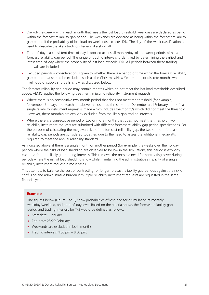- Day-of-the-week within each month that meets the lost load threshold, weekdays are declared as being within the forecast reliability gap period. The weekends are declared as being within the forecast reliability gap period if the probability of lost load on weekends exceeds 10%. The day-of-the-week classification is used to describe the likely trading intervals of a shortfall.
- Time-of-day a consistent time-of-day is applied across all month/day-of-the-week periods within a forecast reliability gap period. The range of trading intervals is identified by determining the earliest and latest time-of-day where the probability of lost load exceeds 10%. All periods between these trading intervals are included.
- Excluded periods consideration is given to whether there is a period of time within the forecast reliability gap period that should be excluded, such as the Christmas/New Year period, or discrete months where likelihood of supply shortfalls is low, as discussed below.

The forecast reliability gap period may contain months which do not meet the lost load thresholds described above. AEMO applies the following treatment in issuing reliability instrument requests:

- Where there is no consecutive two-month period that does not meet the threshold (for example, November, January, and March are above the lost load threshold but December and February are not), a single reliability instrument request is made which includes the month/s which did not meet the threshold. However, these month/s are explicitly excluded from the likely gap trading intervals.
- Where there is a consecutive period of two or more months that does not meet the threshold, two reliability instrument requests are submitted with different forecast reliability gap period specifications. For the purpose of calculating the megawatt size of the forecast reliability gap, the two or more forecast reliability gap periods are considered together, due to the need to assess the additional megawatts required to meet the annual reliability standard.

As indicated above, if there is a single month or another period (for example, the weeks over the holiday period) where the risks of load shedding are observed to be low in the simulations, this period is explicitly excluded from the likely gap trading intervals. This removes the possible need for contracting cover during periods where the risk of load shedding is low while maintaining the administrative simplicity of a single reliability instrument request in most cases.

This attempts to balance the cost of contracting for longer forecast reliability gap periods against the risk of confusion and administrative burden if multiple reliability instrument requests are requested in the same financial year.

#### **Example**

The figures below [\(Figure 3](#page-21-0) to 5) show probabilities of lost load for a simulation at monthly, weekday/weekend, and time-of-day level. Based on the criteria above, the forecast reliability gap period and trading intervals for T-3 would be defined as follows:

- Start date: 1 January.
- End date: 28/29 February.
- Weekends are excluded in both months.
- Trading intervals: 1.00 pm 8.00 pm.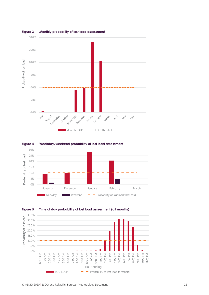

#### <span id="page-21-0"></span>**Figure 3 Monthly probability of lost load assessment**



<span id="page-21-1"></span>

<span id="page-21-2"></span>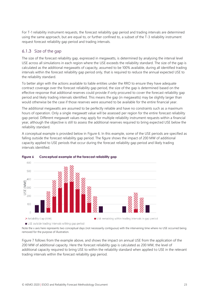For T-1 reliability instrument requests, the forecast reliability gap period and trading intervals are determined using the same approach, but are equal to, or further confined to, a subset of the T-3 reliability instrument request forecast reliability gap period and trading intervals.

#### 6.1.3 Size of the gap

The size of the forecast reliability gap, expressed in megawatts, is determined by analysing the interval level USE across all simulations in each region where the USE exceeds the reliability standard. The size of the gap is calculated as the additional megawatts of capacity, assumed to be 100% available, during all identified trading intervals within the forecast reliability gap period only, that is required to reduce the annual expected USE to the reliability standard.

To better align with the actions available to liable entities under the RRO to ensure they have adequate contract coverage over the forecast reliability gap period, the size of the gap is determined based on the effective response that additional reserves could provide if only procured to cover the forecast reliability gap period and likely trading intervals identified. This means the gap (in megawatts) may be slightly larger than would otherwise be the case if those reserves were assumed to be available for the entire financial year.

The additional megawatts are assumed to be perfectly reliable and have no constraints such as a maximum hours of operation. Only a single megawatt value will be assessed per region for the entire forecast reliability gap period. Different megawatt values may apply for multiple reliability instrument requests within a financial year, although the objective is still to assess the additional reserves required to bring expected USE below the reliability standard.

A conceptual example is provided below in [Figure 6.](#page-22-0) In this example, some of the USE periods are specified as falling outside the forecast reliability gap period. The figure shows the impact of 200 MW of additional capacity applied to USE periods that occur during the forecast reliability gap period and likely trading intervals identified.



#### <span id="page-22-0"></span>**Figure 6 Conceptual example of the forecast reliability gap**

USE outside trading intervals withing gap period

Note the x axis here represents two conceptual days (not necessarily contiguous) with the intervening time where no USE occurred being removed for the purpose of illustration.

[Figure 7](#page-23-0) follows from the example above, and shows the impact on annual USE from the application of the 200 MW of additional capacity. Here the forecast reliability gap is calculated as 200 MW, the level of additional capacity required to bring USE to within the reliability standard when applied to USE in the relevant trading intervals within the forecast reliability gap period.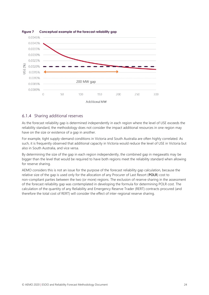

#### <span id="page-23-0"></span>**Figure 7 Conceptual example of the forecast reliability gap**

#### 6.1.4 Sharing additional reserves

As the forecast reliability gap is determined independently in each region where the level of USE exceeds the reliability standard, the methodology does not consider the impact additional resources in one region may have on the size or existence of a gap in another.

For example, tight supply-demand conditions in Victoria and South Australia are often highly correlated. As such, it is frequently observed that additional capacity in Victoria would reduce the level of USE in Victoria but also in South Australia, and vice versa.

By determining the size of the gap in each region independently, the combined gap in megawatts may be bigger than the level that would be required to have both regions meet the reliability standard when allowing for reserve sharing.

AEMO considers this is not an issue for the purpose of the forecast reliability gap calculation, because the relative size of the gap is used only for the allocation of any Procurer of Last Resort (**POLR**) cost to non-compliant parties between the two (or more) regions. The exclusion of reserve sharing in the assessment of the forecast reliability gap was contemplated in developing the formula for determining POLR cost. The calculation of the quantity of any Reliability and Emergency Reserve Trader (RERT) contracts procured (and therefore the total cost of RERT) will consider the effect of inter-regional reserve sharing.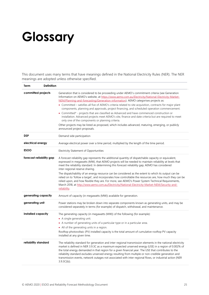# <span id="page-24-0"></span>**Glossary**

This document uses many terms that have meanings defined in the National Electricity Rules (NER). The NER meanings are adopted unless otherwise specified.

| <b>Term</b>          | <b>Definition</b>        |                                                                                                                                                                                                                                                                                                                                                                                                                                                                                                                                                                                                                                                                                                                                                                                                    |
|----------------------|--------------------------|----------------------------------------------------------------------------------------------------------------------------------------------------------------------------------------------------------------------------------------------------------------------------------------------------------------------------------------------------------------------------------------------------------------------------------------------------------------------------------------------------------------------------------------------------------------------------------------------------------------------------------------------------------------------------------------------------------------------------------------------------------------------------------------------------|
| committed projects   |                          | Generation that is considered to be proceeding under AEMO's commitment criteria (see Generation<br>Information on AEMO's website, at https://www.aemo.com.au/Electricity/National-Electricity-Market-<br>NEM/Planning-and-forecasting/Generation-information). AEMO categorises projects as:<br>• Committed – satisfies all five of AEMO's criteria related to site acquisition, contracts for major plant<br>components, planning and approvals, project financing, and scheduled operation commencement.                                                                                                                                                                                                                                                                                         |
|                      |                          | • Committed* - projects that are classified as Advanced and have commenced construction or<br>installation. Advanced projects meet AEMO's site, finance and date criteria but are required to meet<br>only one of the components or planning criteria.                                                                                                                                                                                                                                                                                                                                                                                                                                                                                                                                             |
|                      |                          | Other projects may be listed as proposed, which includes advanced, maturing, emerging, or publicly<br>announced project proposals.                                                                                                                                                                                                                                                                                                                                                                                                                                                                                                                                                                                                                                                                 |
| <b>DSP</b>           |                          | Demand side participation                                                                                                                                                                                                                                                                                                                                                                                                                                                                                                                                                                                                                                                                                                                                                                          |
| electrical energy    |                          | Average electrical power over a time period, multiplied by the length of the time period.                                                                                                                                                                                                                                                                                                                                                                                                                                                                                                                                                                                                                                                                                                          |
| <b>ESOO</b>          |                          | Electricity Statement of Opportunities                                                                                                                                                                                                                                                                                                                                                                                                                                                                                                                                                                                                                                                                                                                                                             |
|                      | forecast reliability gap | A forecast reliability gap represents the additional quantity of dispatchable capacity or equivalent,<br>expressed in megawatts (MW), that AEMO projects will be needed to maintain reliability at levels that<br>meet the reliability standard. In determining this forecast reliability gap, AEMO has considered<br>inter-regional reserve sharing.<br>The dispatchability of an energy resource can be considered as the extent to which its output can be<br>relied on to 'follow a target', and incorporates how controllable the resources are, how much they can be<br>relied upon, and how flexible they are. For more, see AEMO's Power System Technical Requirements,<br>March 2018, at http://www.aemo.com.au/Electricity/National-Electricity-Market-NEM/Security-and-<br>reliability. |
| generating capacity  |                          | Amount of capacity (in megawatts (MW)) available for generation.                                                                                                                                                                                                                                                                                                                                                                                                                                                                                                                                                                                                                                                                                                                                   |
| generating unit      |                          | Power stations may be broken down into separate components known as generating units, and may be<br>considered separately in terms (for example) of dispatch, withdrawal, and maintenance.                                                                                                                                                                                                                                                                                                                                                                                                                                                                                                                                                                                                         |
| installed capacity   |                          | The generating capacity (in megawatts (MW)) of the following (for example):<br>• A single generating unit.<br>• A number of generating units of a particular type or in a particular area.<br>• All of the generating units in a region.<br>Rooftop photovoltaic (PV) installed capacity is the total amount of cumulative rooftop PV capacity<br>installed at any given time.                                                                                                                                                                                                                                                                                                                                                                                                                     |
| reliability standard |                          | The reliability standard for generation and inter-regional transmission elements in the national electricity<br>market is defined in NER 3.9.3C as a maximum expected unserved energy (USE) in a region of 0.002% of<br>the total energy demanded in that region for a given financial year. The USE that contributes to the<br>reliability standard excludes unserved energy resulting from multiple or non-credible generation and<br>transmission events, network outages not associated with inter regional flows, or industrial action (NER<br>$3.9.3C(b)$ ).                                                                                                                                                                                                                                 |